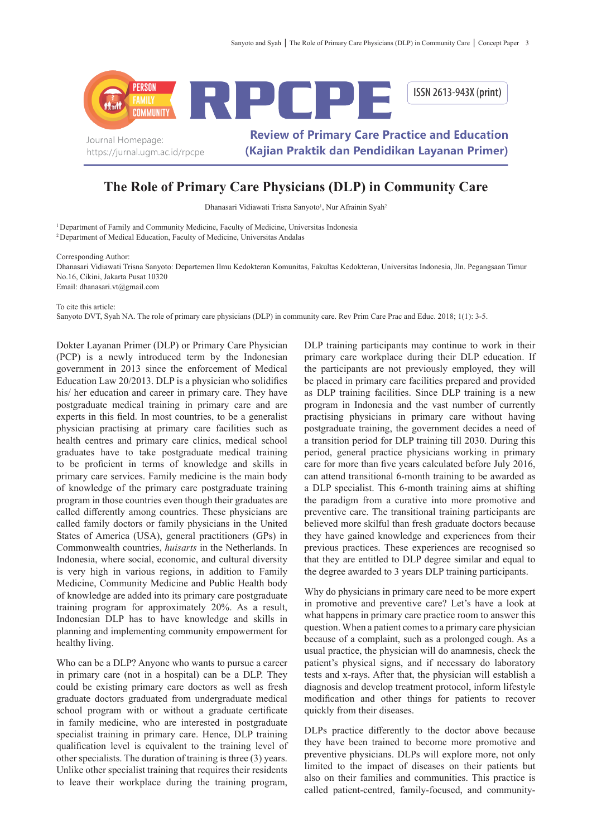

## **The Role of Primary Care Physicians (DLP) in Community Care**

Dhanasari Vidiawati Trisna Sanyoto<sup>1</sup>, Nur Afrainin Syah<sup>2</sup>

<sup>1</sup> Department of Family and Community Medicine, Faculty of Medicine, Universitas Indonesia <sup>2</sup>Department of Medical Education, Faculty of Medicine, Universitas Andalas

Corresponding Author:

Dhanasari Vidiawati Trisna Sanyoto: Departemen Ilmu Kedokteran Komunitas, Fakultas Kedokteran, Universitas Indonesia, Jln. Pegangsaan Timur No.16, Cikini, Jakarta Pusat 10320 Email: dhanasari.vt@gmail.com

To cite this article:

Sanyoto DVT, Syah NA. The role of primary care physicians (DLP) in community care. Rev Prim Care Prac and Educ. 2018; 1(1): 3-5.

Dokter Layanan Primer (DLP) or Primary Care Physician (PCP) is a newly introduced term by the Indonesian government in 2013 since the enforcement of Medical Education Law 20/2013. DLP is a physician who solidifies his/ her education and career in primary care. They have postgraduate medical training in primary care and are experts in this field. In most countries, to be a generalist physician practising at primary care facilities such as health centres and primary care clinics, medical school graduates have to take postgraduate medical training to be proficient in terms of knowledge and skills in primary care services. Family medicine is the main body of knowledge of the primary care postgraduate training program in those countries even though their graduates are called differently among countries. These physicians are called family doctors or family physicians in the United States of America (USA), general practitioners (GPs) in Commonwealth countries, *huisarts* in the Netherlands. In Indonesia, where social, economic, and cultural diversity is very high in various regions, in addition to Family Medicine, Community Medicine and Public Health body of knowledge are added into its primary care postgraduate training program for approximately 20%. As a result, Indonesian DLP has to have knowledge and skills in planning and implementing community empowerment for healthy living.

Who can be a DLP? Anyone who wants to pursue a career in primary care (not in a hospital) can be a DLP. They could be existing primary care doctors as well as fresh graduate doctors graduated from undergraduate medical school program with or without a graduate certificate in family medicine, who are interested in postgraduate specialist training in primary care. Hence, DLP training qualification level is equivalent to the training level of other specialists. The duration of training is three (3) years. Unlike other specialist training that requires their residents to leave their workplace during the training program,

DLP training participants may continue to work in their primary care workplace during their DLP education. If the participants are not previously employed, they will be placed in primary care facilities prepared and provided as DLP training facilities. Since DLP training is a new program in Indonesia and the vast number of currently practising physicians in primary care without having postgraduate training, the government decides a need of a transition period for DLP training till 2030. During this period, general practice physicians working in primary care for more than five years calculated before July 2016, can attend transitional 6-month training to be awarded as a DLP specialist. This 6-month training aims at shifting the paradigm from a curative into more promotive and preventive care. The transitional training participants are believed more skilful than fresh graduate doctors because they have gained knowledge and experiences from their previous practices. These experiences are recognised so that they are entitled to DLP degree similar and equal to the degree awarded to 3 years DLP training participants.

Why do physicians in primary care need to be more expert in promotive and preventive care? Let's have a look at what happens in primary care practice room to answer this question. When a patient comes to a primary care physician because of a complaint, such as a prolonged cough. As a usual practice, the physician will do anamnesis, check the patient's physical signs, and if necessary do laboratory tests and x-rays. After that, the physician will establish a diagnosis and develop treatment protocol, inform lifestyle modification and other things for patients to recover quickly from their diseases.

DLPs practice differently to the doctor above because they have been trained to become more promotive and preventive physicians. DLPs will explore more, not only limited to the impact of diseases on their patients but also on their families and communities. This practice is called patient-centred, family-focused, and community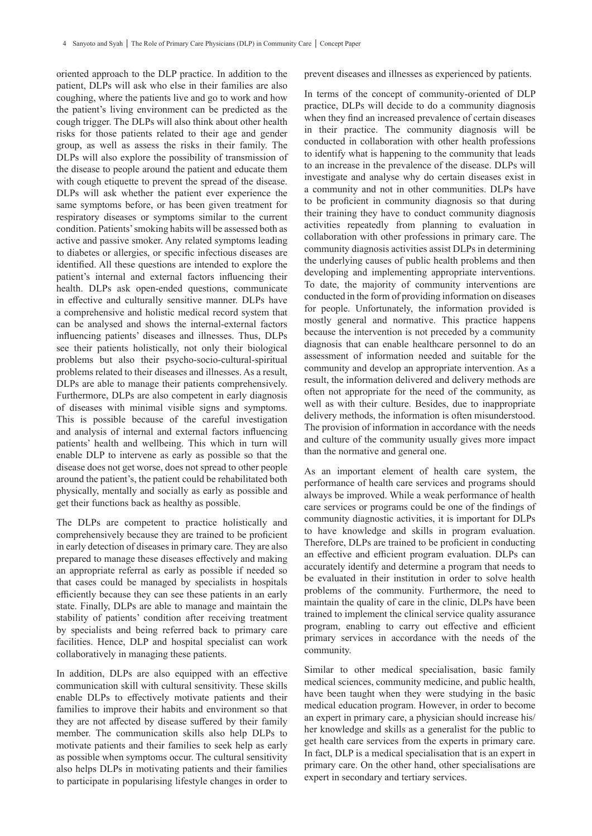oriented approach to the DLP practice. In addition to the patient, DLPs will ask who else in their families are also coughing, where the patients live and go to work and how the patient's living environment can be predicted as the cough trigger. The DLPs will also think about other health risks for those patients related to their age and gender group, as well as assess the risks in their family. The DLPs will also explore the possibility of transmission of the disease to people around the patient and educate them with cough etiquette to prevent the spread of the disease. DLPs will ask whether the patient ever experience the same symptoms before, or has been given treatment for respiratory diseases or symptoms similar to the current condition. Patients' smoking habits will be assessed both as active and passive smoker. Any related symptoms leading to diabetes or allergies, or specific infectious diseases are identified. All these questions are intended to explore the patient's internal and external factors influencing their health. DLPs ask open-ended questions, communicate in effective and culturally sensitive manner. DLPs have a comprehensive and holistic medical record system that can be analysed and shows the internal-external factors influencing patients' diseases and illnesses. Thus, DLPs see their patients holistically, not only their biological problems but also their psycho-socio-cultural-spiritual problems related to their diseases and illnesses. As a result, DLPs are able to manage their patients comprehensively. Furthermore, DLPs are also competent in early diagnosis of diseases with minimal visible signs and symptoms. This is possible because of the careful investigation and analysis of internal and external factors influencing patients' health and wellbeing. This which in turn will enable DLP to intervene as early as possible so that the disease does not get worse, does not spread to other people around the patient's, the patient could be rehabilitated both physically, mentally and socially as early as possible and get their functions back as healthy as possible.

The DLPs are competent to practice holistically and comprehensively because they are trained to be proficient in early detection of diseases in primary care. They are also prepared to manage these diseases effectively and making an appropriate referral as early as possible if needed so that cases could be managed by specialists in hospitals efficiently because they can see these patients in an early state. Finally, DLPs are able to manage and maintain the stability of patients' condition after receiving treatment by specialists and being referred back to primary care facilities. Hence, DLP and hospital specialist can work collaboratively in managing these patients.

In addition, DLPs are also equipped with an effective communication skill with cultural sensitivity. These skills enable DLPs to effectively motivate patients and their families to improve their habits and environment so that they are not affected by disease suffered by their family member. The communication skills also help DLPs to motivate patients and their families to seek help as early as possible when symptoms occur. The cultural sensitivity also helps DLPs in motivating patients and their families to participate in popularising lifestyle changes in order to

prevent diseases and illnesses as experienced by patients.

In terms of the concept of community-oriented of DLP practice, DLPs will decide to do a community diagnosis when they find an increased prevalence of certain diseases in their practice. The community diagnosis will be conducted in collaboration with other health professions to identify what is happening to the community that leads to an increase in the prevalence of the disease. DLPs will investigate and analyse why do certain diseases exist in a community and not in other communities. DLPs have to be proficient in community diagnosis so that during their training they have to conduct community diagnosis activities repeatedly from planning to evaluation in collaboration with other professions in primary care. The community diagnosis activities assist DLPs in determining the underlying causes of public health problems and then developing and implementing appropriate interventions. To date, the majority of community interventions are conducted in the form of providing information on diseases for people. Unfortunately, the information provided is mostly general and normative. This practice happens because the intervention is not preceded by a community diagnosis that can enable healthcare personnel to do an assessment of information needed and suitable for the community and develop an appropriate intervention. As a result, the information delivered and delivery methods are often not appropriate for the need of the community, as well as with their culture. Besides, due to inappropriate delivery methods, the information is often misunderstood. The provision of information in accordance with the needs and culture of the community usually gives more impact than the normative and general one.

As an important element of health care system, the performance of health care services and programs should always be improved. While a weak performance of health care services or programs could be one of the findings of community diagnostic activities, it is important for DLPs to have knowledge and skills in program evaluation. Therefore, DLPs are trained to be proficient in conducting an effective and efficient program evaluation. DLPs can accurately identify and determine a program that needs to be evaluated in their institution in order to solve health problems of the community. Furthermore, the need to maintain the quality of care in the clinic, DLPs have been trained to implement the clinical service quality assurance program, enabling to carry out effective and efficient primary services in accordance with the needs of the community.

Similar to other medical specialisation, basic family medical sciences, community medicine, and public health, have been taught when they were studying in the basic medical education program. However, in order to become an expert in primary care, a physician should increase his/ her knowledge and skills as a generalist for the public to get health care services from the experts in primary care. In fact, DLP is a medical specialisation that is an expert in primary care. On the other hand, other specialisations are expert in secondary and tertiary services.